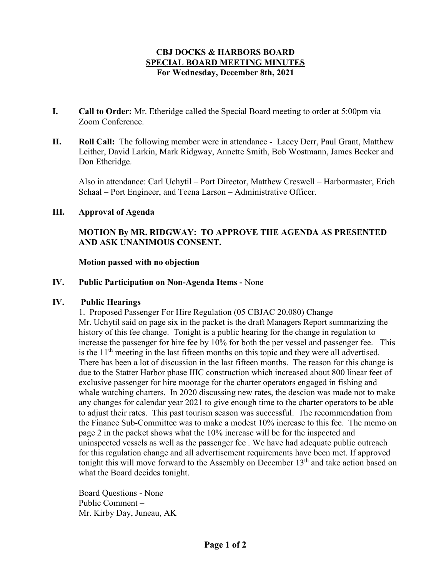### **CBJ DOCKS & HARBORS BOARD SPECIAL BOARD MEETING MINUTES For Wednesday, December 8th, 2021**

- **I. Call to Order:** Mr. Etheridge called the Special Board meeting to order at 5:00pm via Zoom Conference.
- **II. Roll Call:** The following member were in attendance Lacey Derr, Paul Grant, Matthew Leither, David Larkin, Mark Ridgway, Annette Smith, Bob Wostmann, James Becker and Don Etheridge.

Also in attendance: Carl Uchytil – Port Director, Matthew Creswell – Harbormaster, Erich Schaal – Port Engineer, and Teena Larson – Administrative Officer.

# **III. Approval of Agenda**

# **MOTION By MR. RIDGWAY: TO APPROVE THE AGENDA AS PRESENTED AND ASK UNANIMOUS CONSENT.**

#### **Motion passed with no objection**

**IV. Public Participation on Non-Agenda Items -** None

#### **IV. Public Hearings**

1. Proposed Passenger For Hire Regulation (05 CBJAC 20.080) Change Mr. Uchytil said on page six in the packet is the draft Managers Report summarizing the history of this fee change. Tonight is a public hearing for the change in regulation to increase the passenger for hire fee by 10% for both the per vessel and passenger fee. This is the  $11<sup>th</sup>$  meeting in the last fifteen months on this topic and they were all advertised. There has been a lot of discussion in the last fifteen months. The reason for this change is due to the Statter Harbor phase IIIC construction which increased about 800 linear feet of exclusive passenger for hire moorage for the charter operators engaged in fishing and whale watching charters. In 2020 discussing new rates, the descion was made not to make any changes for calendar year 2021 to give enough time to the charter operators to be able to adjust their rates. This past tourism season was successful. The recommendation from the Finance Sub-Committee was to make a modest 10% increase to this fee. The memo on page 2 in the packet shows what the 10% increase will be for the inspected and uninspected vessels as well as the passenger fee . We have had adequate public outreach for this regulation change and all advertisement requirements have been met. If approved tonight this will move forward to the Assembly on December  $13<sup>th</sup>$  and take action based on what the Board decides tonight.

Board Questions - None Public Comment – Mr. Kirby Day, Juneau, AK